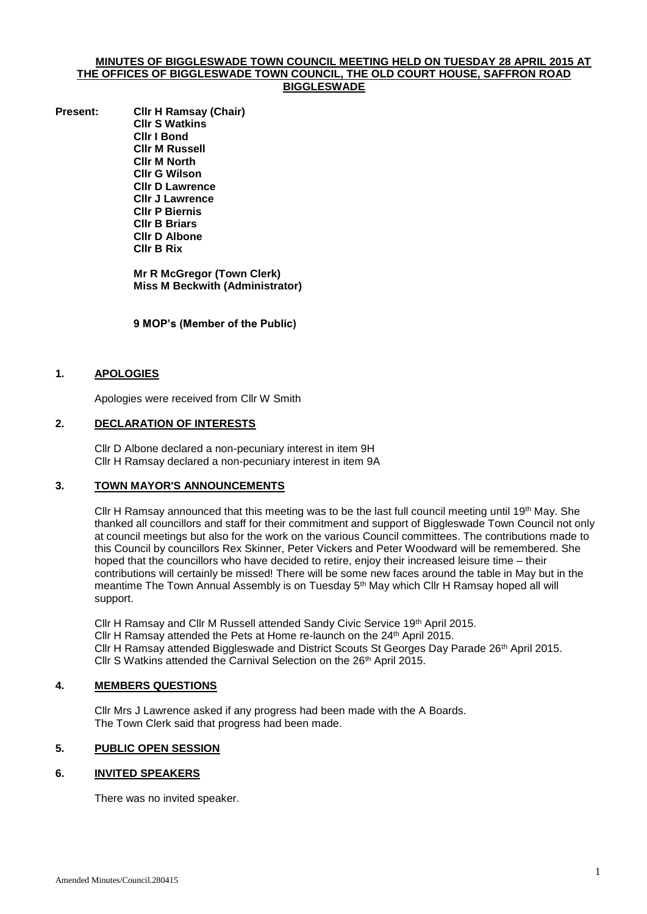#### **MINUTES OF BIGGLESWADE TOWN COUNCIL MEETING HELD ON TUESDAY 28 APRIL 2015 AT THE OFFICES OF BIGGLESWADE TOWN COUNCIL, THE OLD COURT HOUSE, SAFFRON ROAD BIGGLESWADE**

**Present: Cllr H Ramsay (Chair) Cllr S Watkins Cllr I Bond Cllr M Russell Cllr M North Cllr G Wilson Cllr D Lawrence Cllr J Lawrence Cllr P Biernis Cllr B Briars Cllr D Albone Cllr B Rix**

> **Mr R McGregor (Town Clerk) Miss M Beckwith (Administrator)**

**9 MOP's (Member of the Public)**

## **1. APOLOGIES**

Apologies were received from Cllr W Smith

#### **2. DECLARATION OF INTERESTS**

Cllr D Albone declared a non-pecuniary interest in item 9H Cllr H Ramsay declared a non-pecuniary interest in item 9A

#### **3. TOWN MAYOR'S ANNOUNCEMENTS**

Cllr H Ramsay announced that this meeting was to be the last full council meeting until 19th May. She thanked all councillors and staff for their commitment and support of Biggleswade Town Council not only at council meetings but also for the work on the various Council committees. The contributions made to this Council by councillors Rex Skinner, Peter Vickers and Peter Woodward will be remembered. She hoped that the councillors who have decided to retire, enjoy their increased leisure time – their contributions will certainly be missed! There will be some new faces around the table in May but in the meantime The Town Annual Assembly is on Tuesday 5<sup>th</sup> May which Cllr H Ramsay hoped all will support.

Cllr H Ramsay and Cllr M Russell attended Sandy Civic Service 19th April 2015. Cllr H Ramsay attended the Pets at Home re-launch on the 24<sup>th</sup> April 2015. Cllr H Ramsay attended Biggleswade and District Scouts St Georges Day Parade 26<sup>th</sup> April 2015. Cllr S Watkins attended the Carnival Selection on the 26<sup>th</sup> April 2015.

#### **4. MEMBERS QUESTIONS**

Cllr Mrs J Lawrence asked if any progress had been made with the A Boards. The Town Clerk said that progress had been made.

# **5. PUBLIC OPEN SESSION**

#### **6. INVITED SPEAKERS**

There was no invited speaker.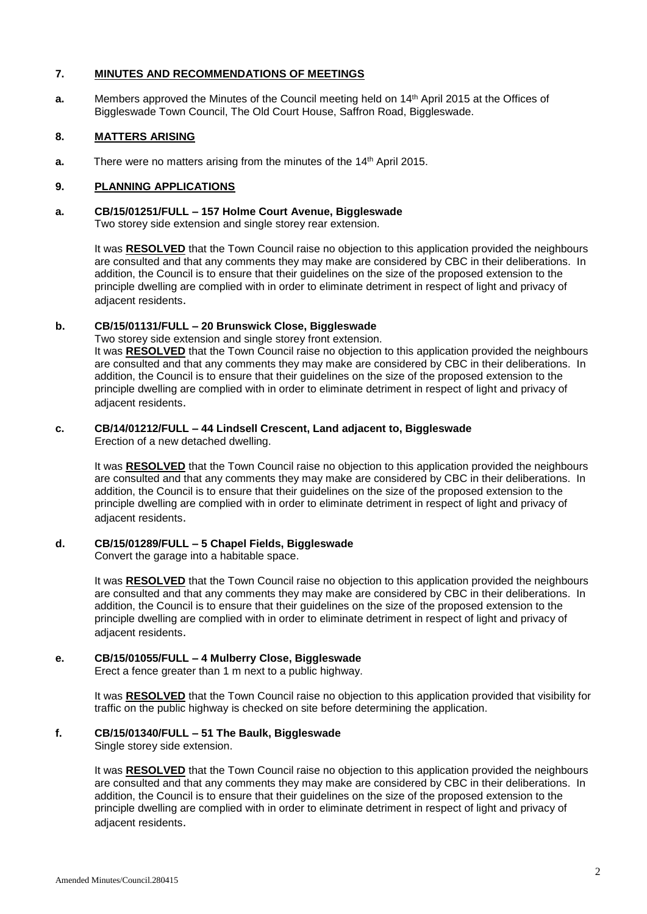#### **7. MINUTES AND RECOMMENDATIONS OF MEETINGS**

**a.** Members approved the Minutes of the Council meeting held on 14th April 2015 at the Offices of Biggleswade Town Council, The Old Court House, Saffron Road, Biggleswade.

# **8. MATTERS ARISING**

**a.** There were no matters arising from the minutes of the 14<sup>th</sup> April 2015.

# **9. PLANNING APPLICATIONS**

# **a. CB/15/01251/FULL – 157 Holme Court Avenue, Biggleswade**

Two storey side extension and single storey rear extension.

It was **RESOLVED** that the Town Council raise no objection to this application provided the neighbours are consulted and that any comments they may make are considered by CBC in their deliberations. In addition, the Council is to ensure that their guidelines on the size of the proposed extension to the principle dwelling are complied with in order to eliminate detriment in respect of light and privacy of adiacent residents.

# **b. CB/15/01131/FULL – 20 Brunswick Close, Biggleswade**

Two storey side extension and single storey front extension. It was **RESOLVED** that the Town Council raise no objection to this application provided the neighbours are consulted and that any comments they may make are considered by CBC in their deliberations. In addition, the Council is to ensure that their guidelines on the size of the proposed extension to the principle dwelling are complied with in order to eliminate detriment in respect of light and privacy of adjacent residents.

# **c. CB/14/01212/FULL – 44 Lindsell Crescent, Land adjacent to, Biggleswade**

Erection of a new detached dwelling.

It was **RESOLVED** that the Town Council raise no objection to this application provided the neighbours are consulted and that any comments they may make are considered by CBC in their deliberations. In addition, the Council is to ensure that their guidelines on the size of the proposed extension to the principle dwelling are complied with in order to eliminate detriment in respect of light and privacy of adjacent residents.

# **d. CB/15/01289/FULL – 5 Chapel Fields, Biggleswade**

Convert the garage into a habitable space.

It was **RESOLVED** that the Town Council raise no objection to this application provided the neighbours are consulted and that any comments they may make are considered by CBC in their deliberations. In addition, the Council is to ensure that their guidelines on the size of the proposed extension to the principle dwelling are complied with in order to eliminate detriment in respect of light and privacy of adiacent residents.

# **e. CB/15/01055/FULL – 4 Mulberry Close, Biggleswade**

Erect a fence greater than 1 m next to a public highway.

It was **RESOLVED** that the Town Council raise no objection to this application provided that visibility for traffic on the public highway is checked on site before determining the application.

# **f. CB/15/01340/FULL – 51 The Baulk, Biggleswade**

Single storey side extension.

It was **RESOLVED** that the Town Council raise no objection to this application provided the neighbours are consulted and that any comments they may make are considered by CBC in their deliberations. In addition, the Council is to ensure that their guidelines on the size of the proposed extension to the principle dwelling are complied with in order to eliminate detriment in respect of light and privacy of adjacent residents.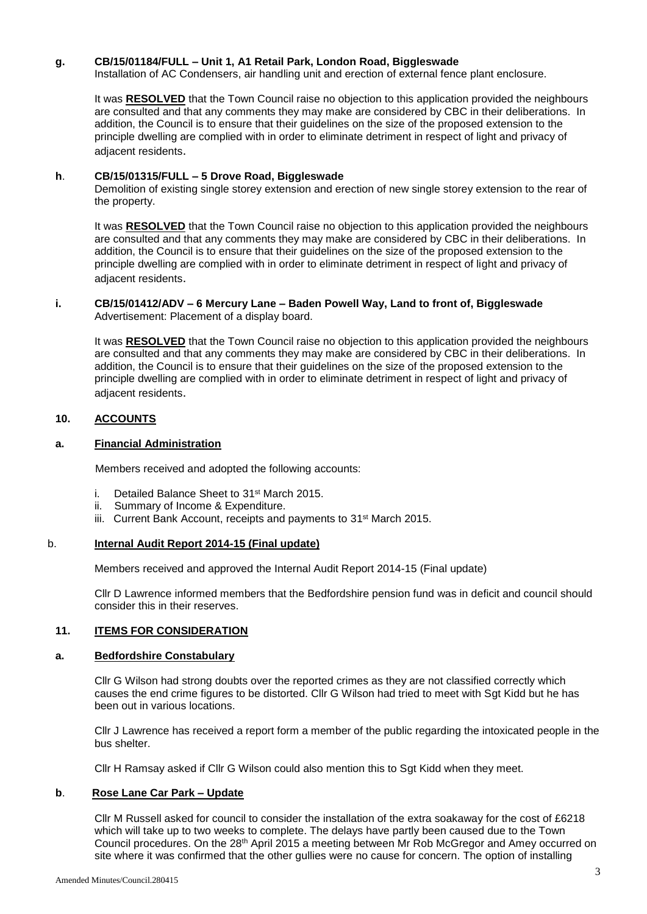## **g. CB/15/01184/FULL – Unit 1, A1 Retail Park, London Road, Biggleswade**

Installation of AC Condensers, air handling unit and erection of external fence plant enclosure.

It was **RESOLVED** that the Town Council raise no objection to this application provided the neighbours are consulted and that any comments they may make are considered by CBC in their deliberations. In addition, the Council is to ensure that their guidelines on the size of the proposed extension to the principle dwelling are complied with in order to eliminate detriment in respect of light and privacy of adiacent residents.

#### **h**. **CB/15/01315/FULL – 5 Drove Road, Biggleswade**

Demolition of existing single storey extension and erection of new single storey extension to the rear of the property.

It was **RESOLVED** that the Town Council raise no objection to this application provided the neighbours are consulted and that any comments they may make are considered by CBC in their deliberations. In addition, the Council is to ensure that their guidelines on the size of the proposed extension to the principle dwelling are complied with in order to eliminate detriment in respect of light and privacy of adjacent residents.

#### **i. CB/15/01412/ADV – 6 Mercury Lane – Baden Powell Way, Land to front of, Biggleswade** Advertisement: Placement of a display board.

It was **RESOLVED** that the Town Council raise no objection to this application provided the neighbours are consulted and that any comments they may make are considered by CBC in their deliberations. In addition, the Council is to ensure that their guidelines on the size of the proposed extension to the principle dwelling are complied with in order to eliminate detriment in respect of light and privacy of adjacent residents.

# **10. ACCOUNTS**

## **a. Financial Administration**

Members received and adopted the following accounts:

- i. Detailed Balance Sheet to 31<sup>st</sup> March 2015.
- ii. Summary of Income & Expenditure.
- iii. Current Bank Account, receipts and payments to 31<sup>st</sup> March 2015.

#### b. **Internal Audit Report 2014-15 (Final update)**

Members received and approved the Internal Audit Report 2014-15 (Final update)

Cllr D Lawrence informed members that the Bedfordshire pension fund was in deficit and council should consider this in their reserves.

#### **11. ITEMS FOR CONSIDERATION**

#### **a. Bedfordshire Constabulary**

Cllr G Wilson had strong doubts over the reported crimes as they are not classified correctly which causes the end crime figures to be distorted. Cllr G Wilson had tried to meet with Sgt Kidd but he has been out in various locations.

Cllr J Lawrence has received a report form a member of the public regarding the intoxicated people in the bus shelter.

Cllr H Ramsay asked if Cllr G Wilson could also mention this to Sgt Kidd when they meet.

# **b**. **Rose Lane Car Park – Update**

Cllr M Russell asked for council to consider the installation of the extra soakaway for the cost of £6218 which will take up to two weeks to complete. The delays have partly been caused due to the Town Council procedures. On the 28th April 2015 a meeting between Mr Rob McGregor and Amey occurred on site where it was confirmed that the other gullies were no cause for concern. The option of installing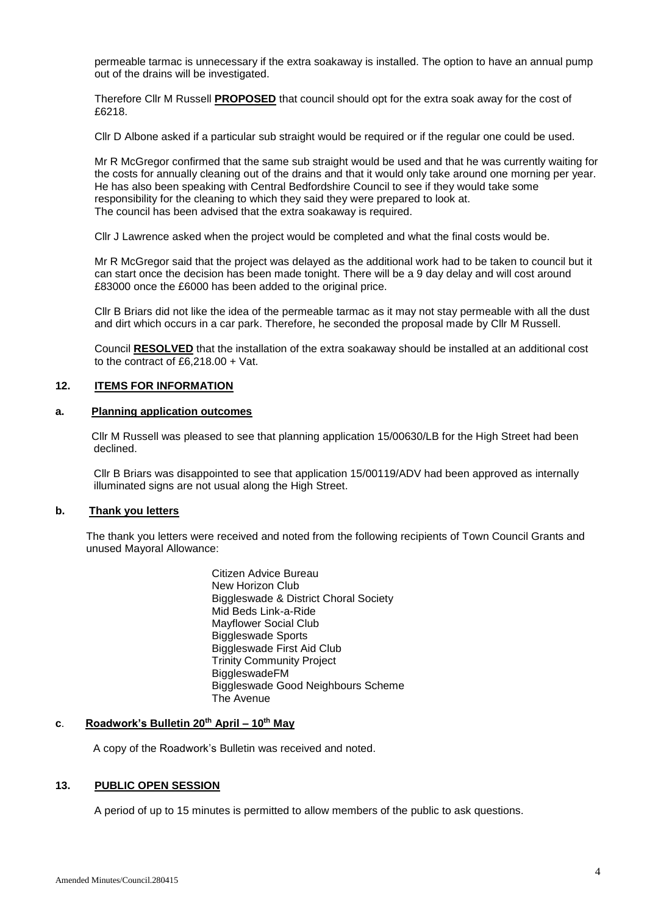permeable tarmac is unnecessary if the extra soakaway is installed. The option to have an annual pump out of the drains will be investigated.

Therefore Cllr M Russell **PROPOSED** that council should opt for the extra soak away for the cost of £6218.

Cllr D Albone asked if a particular sub straight would be required or if the regular one could be used.

Mr R McGregor confirmed that the same sub straight would be used and that he was currently waiting for the costs for annually cleaning out of the drains and that it would only take around one morning per year. He has also been speaking with Central Bedfordshire Council to see if they would take some responsibility for the cleaning to which they said they were prepared to look at. The council has been advised that the extra soakaway is required.

Cllr J Lawrence asked when the project would be completed and what the final costs would be.

Mr R McGregor said that the project was delayed as the additional work had to be taken to council but it can start once the decision has been made tonight. There will be a 9 day delay and will cost around £83000 once the £6000 has been added to the original price.

Cllr B Briars did not like the idea of the permeable tarmac as it may not stay permeable with all the dust and dirt which occurs in a car park. Therefore, he seconded the proposal made by Cllr M Russell.

Council **RESOLVED** that the installation of the extra soakaway should be installed at an additional cost to the contract of £6,218.00 + Vat.

# **12. ITEMS FOR INFORMATION**

#### **a. Planning application outcomes**

 Cllr M Russell was pleased to see that planning application 15/00630/LB for the High Street had been declined.

Cllr B Briars was disappointed to see that application 15/00119/ADV had been approved as internally illuminated signs are not usual along the High Street.

#### **b. Thank you letters**

The thank you letters were received and noted from the following recipients of Town Council Grants and unused Mayoral Allowance:

> Citizen Advice Bureau New Horizon Club Biggleswade & District Choral Society Mid Beds Link-a-Ride Mayflower Social Club Biggleswade Sports Biggleswade First Aid Club Trinity Community Project **BiggleswadeFM** Biggleswade Good Neighbours Scheme The Avenue

## **c**. **Roadwork's Bulletin 20th April – 10th May**

A copy of the Roadwork's Bulletin was received and noted.

#### **13. PUBLIC OPEN SESSION**

A period of up to 15 minutes is permitted to allow members of the public to ask questions.